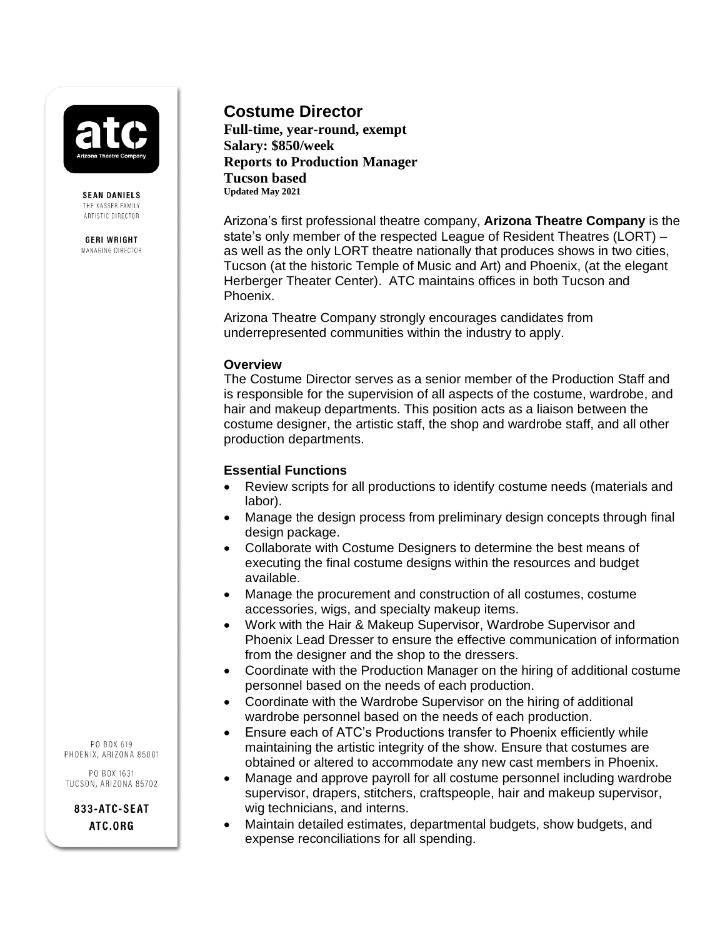**SEAN DANIELS** THE KASSER FAMILY ARTISTIC DIRECTOR

**GERI WRIGHT** MANAGING DIRECTOR

# **Costume Director**

**Full-time, year-round, exempt Salary: \$850/week Reports to Production Manager Tucson based Updated May 2021**

Arizona's first professional theatre company, **Arizona Theatre Company** is the state's only member of the respected League of Resident Theatres (LORT) – as well as the only LORT theatre nationally that produces shows in two cities, Tucson (at the historic Temple of Music and Art) and Phoenix, (at the elegant Herberger Theater Center). ATC maintains offices in both Tucson and Phoenix.

Arizona Theatre Company strongly encourages candidates from underrepresented communities within the industry to apply.

#### **Overview**

The Costume Director serves as a senior member of the Production Staff and is responsible for the supervision of all aspects of the costume, wardrobe, and hair and makeup departments. This position acts as a liaison between the costume designer, the artistic staff, the shop and wardrobe staff, and all other production departments.

#### **Essential Functions**

- Review scripts for all productions to identify costume needs (materials and labor).
- Manage the design process from preliminary design concepts through final design package.
- Collaborate with Costume Designers to determine the best means of executing the final costume designs within the resources and budget available.
- Manage the procurement and construction of all costumes, costume accessories, wigs, and specialty makeup items.
- Work with the Hair & Makeup Supervisor, Wardrobe Supervisor and Phoenix Lead Dresser to ensure the effective communication of information from the designer and the shop to the dressers.
- Coordinate with the Production Manager on the hiring of additional costume personnel based on the needs of each production.
- Coordinate with the Wardrobe Supervisor on the hiring of additional wardrobe personnel based on the needs of each production.
- Ensure each of ATC's Productions transfer to Phoenix efficiently while maintaining the artistic integrity of the show. Ensure that costumes are obtained or altered to accommodate any new cast members in Phoenix.
- Manage and approve payroll for all costume personnel including wardrobe supervisor, drapers, stitchers, craftspeople, hair and makeup supervisor, wig technicians, and interns.
- Maintain detailed estimates, departmental budgets, show budgets, and expense reconciliations for all spending.

PO BOX 619 PHOENIX, ARIZONA 85001

PO BOX 1631 TUCSON, ARIZONA 85702

> 833-ATC-SEAT ATC.ORG